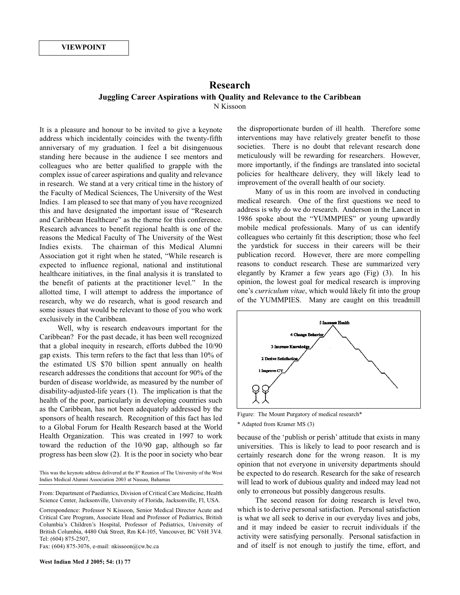## **Research Juggling Career Aspirations with Quality and Relevance to the Caribbean** N Kissoon

It is a pleasure and honour to be invited to give a keynote address which incidentally coincides with the twenty-fifth anniversary of my graduation. I feel a bit disingenuous standing here because in the audience I see mentors and colleagues who are better qualified to grapple with the complex issue of career aspirations and quality and relevance in research. We stand at a very critical time in the history of the Faculty of Medical Sciences, The University of the West Indies. I am pleased to see that many of you have recognized this and have designated the important issue of "Research and Caribbean Healthcare" as the theme for this conference. Research advances to benefit regional health is one of the reasons the Medical Faculty of The University of the West Indies exists. The chairman of this Medical Alumni Association got it right when he stated, "While research is expected to influence regional, national and institutional healthcare initiatives, in the final analysis it is translated to the benefit of patients at the practitioner level." In the allotted time, I will attempt to address the importance of research, why we do research, what is good research and some issues that would be relevant to those of you who work exclusively in the Caribbean.

Well, why is research endeavours important for the Caribbean? For the past decade, it has been well recognized that a global inequity in research, efforts dubbed the 10/90 gap exists. This term refers to the fact that less than 10% of the estimated US \$70 billion spent annually on health research addresses the conditions that account for 90% of the burden of disease worldwide, as measured by the number of disability-adjusted-life years (1). The implication is that the health of the poor, particularly in developing countries such as the Caribbean, has not been adequately addressed by the sponsors of health research. Recognition of this fact has led to a Global Forum for Health Research based at the World Health Organization. This was created in 1997 to work toward the reduction of the 10/90 gap, although so far progress has been slow (2). It is the poor in society who bear

This was the keynote address delivered at the  $8<sup>th</sup>$  Reunion of The University of the West Indies Medical Alumni Association 2003 at Nassau, Bahamas

From: Department of Paediatrics, Division of Critical Care Medicine, Health Science Center, Jacksonville, University of Florida, Jacksonville, Fl, USA.

Correspondence: Professor N Kissoon, Senior Medical Director Acute and Critical Care Program, Associate Head and Professor of Pediatrics, British Columbia's Children's Hospital, Professor of Pediatrics, University of British Columbia, 4480 Oak Street, Rm K4-105, Vancouver, BC V6H 3V4. Tel: (604) 875-2507,

Fax: (604) 875-3076, e-mail: nkissoon@cw.bc.ca

the disproportionate burden of ill health. Therefore some interventions may have relatively greater benefit to those societies. There is no doubt that relevant research done meticulously will be rewarding for researchers. However, more importantly, if the findings are translated into societal policies for healthcare delivery, they will likely lead to improvement of the overall health of our society.

Many of us in this room are involved in conducting medical research. One of the first questions we need to address is why do we do research. Anderson in the Lancet in 1986 spoke about the "YUMMPIES" or young upwardly mobile medical professionals. Many of us can identify colleagues who certainly fit this description; those who feel the yardstick for success in their careers will be their publication record. However, there are more compelling reasons to conduct research. These are summarized very elegantly by Kramer a few years ago (Fig) (3). In his opinion, the lowest goal for medical research is improving one's *curriculum vitae*, which would likely fit into the group of the YUMMPIES. Many are caught on this treadmill



Figure: The Mount Purgatory of medical research\*

\* Adapted from Kramer MS (3)

because of the 'publish or perish' attitude that exists in many universities. This is likely to lead to poor research and is certainly research done for the wrong reason. It is my opinion that not everyone in university departments should be expected to do research. Research for the sake of research will lead to work of dubious quality and indeed may lead not only to erroneous but possibly dangerous results.

The second reason for doing research is level two, which is to derive personal satisfaction. Personal satisfaction is what we all seek to derive in our everyday lives and jobs, and it may indeed be easier to recruit individuals if the activity were satisfying personally. Personal satisfaction in and of itself is not enough to justify the time, effort, and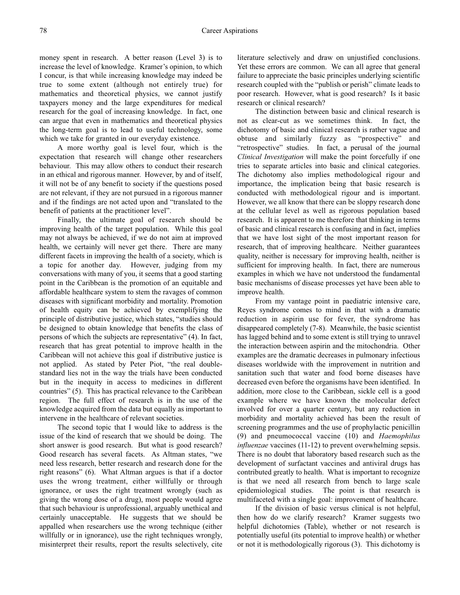money spent in research. A better reason (Level 3) is to increase the level of knowledge. Kramer's opinion, to which I concur, is that while increasing knowledge may indeed be true to some extent (although not entirely true) for mathematics and theoretical physics, we cannot justify taxpayers money and the large expenditures for medical research for the goal of increasing knowledge. In fact, one can argue that even in mathematics and theoretical physics the long-term goal is to lead to useful technology, some which we take for granted in our everyday existence.

A more worthy goal is level four, which is the expectation that research will change other researchers behaviour. This may allow others to conduct their research in an ethical and rigorous manner. However, by and of itself, it will not be of any benefit to society if the questions posed are not relevant, if they are not pursued in a rigorous manner and if the findings are not acted upon and "translated to the benefit of patients at the practitioner level".

Finally, the ultimate goal of research should be improving health of the target population. While this goal may not always be achieved, if we do not aim at improved health, we certainly will never get there. There are many different facets in improving the health of a society, which is a topic for another day. However, judging from my conversations with many of you, it seems that a good starting point in the Caribbean is the promotion of an equitable and affordable healthcare system to stem the ravages of common diseases with significant morbidity and mortality. Promotion of health equity can be achieved by exemplifying the principle of distributive justice, which states, "studies should be designed to obtain knowledge that benefits the class of persons of which the subjects are representative" (4). In fact, research that has great potential to improve health in the Caribbean will not achieve this goal if distributive justice is not applied. As stated by Peter Piot, "the real doublestandard lies not in the way the trials have been conducted but in the inequity in access to medicines in different countries" (5). This has practical relevance to the Caribbean region. The full effect of research is in the use of the knowledge acquired from the data but equally as important to intervene in the healthcare of relevant societies.

The second topic that I would like to address is the issue of the kind of research that we should be doing. The short answer is good research. But what is good research? Good research has several facets. As Altman states, "we need less research, better research and research done for the right reasons" (6). What Altman argues is that if a doctor uses the wrong treatment, either willfully or through ignorance, or uses the right treatment wrongly (such as giving the wrong dose of a drug), most people would agree that such behaviour is unprofessional, arguably unethical and certainly unacceptable. He suggests that we should be appalled when researchers use the wrong technique (either willfully or in ignorance), use the right techniques wrongly, misinterpret their results, report the results selectively, cite literature selectively and draw on unjustified conclusions. Yet these errors are common. We can all agree that general failure to appreciate the basic principles underlying scientific research coupled with the "publish or perish" climate leads to poor research. However, what is good research? Is it basic research or clinical research?

The distinction between basic and clinical research is not as clear-cut as we sometimes think. In fact, the dichotomy of basic and clinical research is rather vague and obtuse and similarly fuzzy as "prospective" and "retrospective" studies. In fact, a perusal of the journal *Clinical Investigation* will make the point forcefully if one tries to separate articles into basic and clinical categories. The dichotomy also implies methodological rigour and importance, the implication being that basic research is conducted with methodological rigour and is important. However, we all know that there can be sloppy research done at the cellular level as well as rigorous population based research. It is apparent to me therefore that thinking in terms of basic and clinical research is confusing and in fact, implies that we have lost sight of the most important reason for research, that of improving healthcare. Neither guarantees quality, neither is necessary for improving health, neither is sufficient for improving health. In fact, there are numerous examples in which we have not understood the fundamental basic mechanisms of disease processes yet have been able to improve health.

From my vantage point in paediatric intensive care, Reyes syndrome comes to mind in that with a dramatic reduction in aspirin use for fever, the syndrome has disappeared completely (7-8). Meanwhile, the basic scientist has lagged behind and to some extent is still trying to unravel the interaction between aspirin and the mitochondria. Other examples are the dramatic decreases in pulmonary infectious diseases worldwide with the improvement in nutrition and sanitation such that water and food borne diseases have decreased even before the organisms have been identified. In addition, more close to the Caribbean, sickle cell is a good example where we have known the molecular defect involved for over a quarter century, but any reduction in morbidity and mortality achieved has been the result of screening programmes and the use of prophylactic penicillin (9) and pneumococcal vaccine (10) and *Haemophilus influenzae* vaccines (11-12) to prevent overwhelming sepsis. There is no doubt that laboratory based research such as the development of surfactant vaccines and antiviral drugs has contributed greatly to health. What is important to recognize is that we need all research from bench to large scale epidemiological studies. The point is that research is multifaceted with a single goal: improvement of healthcare.

If the division of basic versus clinical is not helpful, then how do we clarify research? Kramer suggests two helpful dichotomies (Table), whether or not research is potentially useful (its potential to improve health) or whether or not it is methodologically rigorous (3). This dichotomy is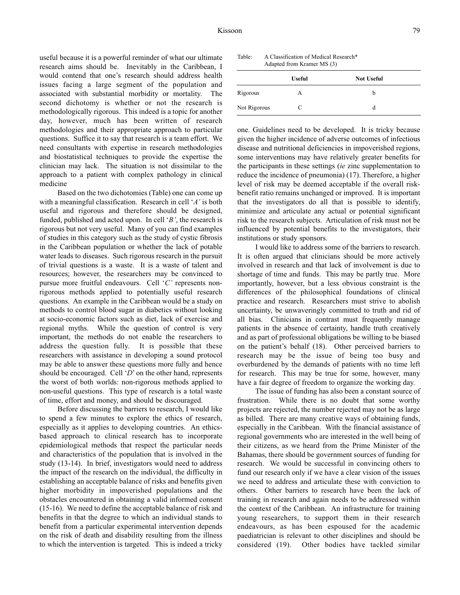useful because it is a powerful reminder of what our ultimate research aims should be. Inevitably in the Caribbean, I would contend that one's research should address health issues facing a large segment of the population and associated with substantial morbidity or mortality. The second dichotomy is whether or not the research is methodologically rigorous. This indeed is a topic for another day, however, much has been written of research methodologies and their appropriate approach to particular questions. Suffice it to say that research is a team effort. We need consultants with expertise in research methodologies and biostatistical techniques to provide the expertise the clinician may lack. The situation is not dissimilar to the approach to a patient with complex pathology in clinical medicine

Based on the two dichotomies (Table) one can come up with a meaningful classification. Research in cell '*A'* is both useful and rigorous and therefore should be designed, funded, published and acted upon. In cell '*B'*, the research is rigorous but not very useful. Many of you can find examples of studies in this category such as the study of cystic fibrosis in the Caribbean population or whether the lack of potable water leads to diseases. Such rigorous research in the pursuit of trivial questions is a waste. It is a waste of talent and resources; however, the researchers may be convinced to pursue more fruitful endeavours. Cell '*C'* represents nonrigorous methods applied to potentially useful research questions. An example in the Caribbean would be a study on methods to control blood sugar in diabetics without looking at socio-economic factors such as diet, lack of exercise and regional myths. While the question of control is very important, the methods do not enable the researchers to address the question fully. It is possible that these researchers with assistance in developing a sound protocol may be able to answer these questions more fully and hence should be encouraged. Cell '*D*' on the other hand, represents the worst of both worlds: non-rigorous methods applied to non-useful questions. This type of research is a total waste of time, effort and money, and should be discouraged.

Before discussing the barriers to research, I would like to spend a few minutes to explore the ethics of research, especially as it applies to developing countries. An ethicsbased approach to clinical research has to incorporate epidemiological methods that respect the particular needs and characteristics of the population that is involved in the study (13-14). In brief, investigators would need to address the impact of the research on the individual, the difficulty in establishing an acceptable balance of risks and benefits given higher morbidity in impoverished populations and the obstacles encountered in obtaining a valid informed consent (15-16). We need to define the acceptable balance of risk and benefits in that the degree to which an individual stands to benefit from a particular experimental intervention depends on the risk of death and disability resulting from the illness to which the intervention is targeted. This is indeed a tricky

Table: A Classification of Medical Research\* Adapted from Kramer MS (3)

|              | <b>Useful</b> | <b>Not Useful</b> |  |
|--------------|---------------|-------------------|--|
| Rigorous     | А             | b                 |  |
| Not Rigorous | C             | d                 |  |

one. Guidelines need to be developed. It is tricky because given the higher incidence of adverse outcomes of infectious disease and nutritional deficiencies in impoverished regions, some interventions may have relatively greater benefits for the participants in these settings (*ie* zinc supplementation to reduce the incidence of pneumonia) (17). Therefore, a higher level of risk may be deemed acceptable if the overall riskbenefit ratio remains unchanged or improved. It is important that the investigators do all that is possible to identify, minimize and articulate any actual or potential significant risk to the research subjects. Articulation of risk must not be influenced by potential benefits to the investigators, their institutions or study sponsors.

I would like to address some of the barriers to research. It is often argued that clinicians should be more actively involved in research and that lack of involvement is due to shortage of time and funds. This may be partly true. More importantly, however, but a less obvious constraint is the differences of the philosophical foundations of clinical practice and research. Researchers must strive to abolish uncertainty, be unwaveringly committed to truth and rid of all bias. Clinicians in contrast must frequently manage patients in the absence of certainty, handle truth creatively and as part of professional obligations be willing to be biased on the patient's behalf (18). Other perceived barriers to research may be the issue of being too busy and overburdened by the demands of patients with no time left for research. This may be true for some, however, many have a fair degree of freedom to organize the working day.

The issue of funding has also been a constant source of frustration. While there is no doubt that some worthy projects are rejected, the number rejected may not be as large as billed. There are many creative ways of obtaining funds, especially in the Caribbean. With the financial assistance of regional governments who are interested in the well being of their citizens, as we heard from the Prime Minister of the Bahamas, there should be government sources of funding for research. We would be successful in convincing others to fund our research only if we have a clear vision of the issues we need to address and articulate these with conviction to others. Other barriers to research have been the lack of training in research and again needs to be addressed within the context of the Caribbean. An infrastructure for training young researchers, to support them in their research endeavours, as has been espoused for the academic paediatrician is relevant to other disciplines and should be considered (19). Other bodies have tackled similar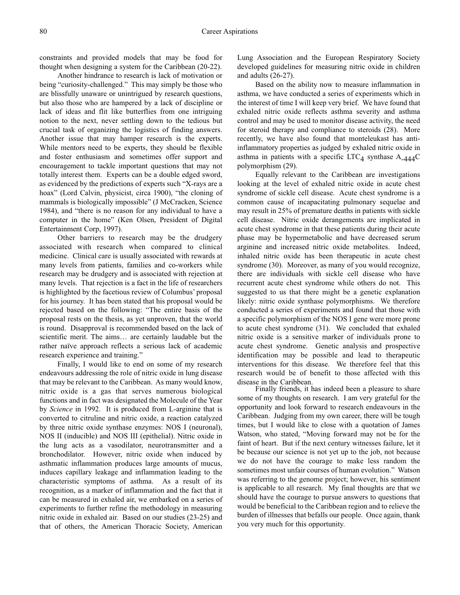constraints and provided models that may be food for thought when designing a system for the Caribbean (20-22).

Another hindrance to research is lack of motivation or being "curiosity-challenged." This may simply be those who are blissfully unaware or unintrigued by research questions, but also those who are hampered by a lack of discipline or lack of ideas and flit like butterflies from one intriguing notion to the next, never settling down to the tedious but crucial task of organizing the logistics of finding answers. Another issue that may hamper research is the experts. While mentors need to be experts, they should be flexible and foster enthusiasm and sometimes offer support and encouragement to tackle important questions that may not totally interest them. Experts can be a double edged sword, as evidenced by the predictions of experts such "X-rays are a hoax" (Lord Calvin, physicist, circa 1900), "the cloning of mammals is biologically impossible" (J McCracken, Science 1984), and "there is no reason for any individual to have a computer in the home" (Ken Olsen, President of Digital Entertainment Corp, 1997).

Other barriers to research may be the drudgery associated with research when compared to clinical medicine. Clinical care is usually associated with rewards at many levels from patients, families and co-workers while research may be drudgery and is associated with rejection at many levels. That rejection is a fact in the life of researchers is highlighted by the facetious review of Columbus' proposal for his journey. It has been stated that his proposal would be rejected based on the following: "The entire basis of the proposal rests on the thesis, as yet unproven, that the world is round. Disapproval is recommended based on the lack of scientific merit. The aims… are certainly laudable but the rather naïve approach reflects a serious lack of academic research experience and training."

Finally, I would like to end on some of my research endeavours addressing the role of nitric oxide in lung disease that may be relevant to the Caribbean. As many would know, nitric oxide is a gas that serves numerous biological functions and in fact was designated the Molecule of the Year by *Science* in 1992. It is produced from L-arginine that is converted to citruline and nitric oxide, a reaction catalyzed by three nitric oxide synthase enzymes: NOS I (neuronal), NOS II (inducible) and NOS III (epithelial). Nitric oxide in the lung acts as a vasodilator, neurotransmitter and a bronchodilator. However, nitric oxide when induced by asthmatic inflammation produces large amounts of mucus, induces capillary leakage and inflammation leading to the characteristic symptoms of asthma. As a result of its recognition, as a marker of inflammation and the fact that it can be measured in exhaled air, we embarked on a series of experiments to further refine the methodology in measuring nitric oxide in exhaled air. Based on our studies (23-25) and that of others, the American Thoracic Society, American Lung Association and the European Respiratory Society developed guidelines for measuring nitric oxide in children and adults (26-27).

Based on the ability now to measure inflammation in asthma, we have conducted a series of experiments which in the interest of time I will keep very brief. We have found that exhaled nitric oxide reflects asthma severity and asthma control and may be used to monitor disease activity, the need for steroid therapy and compliance to steroids (28). More recently, we have also found that monteleukast has antiinflammatory properties as judged by exhaled nitric oxide in asthma in patients with a specific LTC<sub>4</sub> synthase  $A_{-444}C$ polymorphism (29).

Equally relevant to the Caribbean are investigations looking at the level of exhaled nitric oxide in acute chest syndrome of sickle cell disease. Acute chest syndrome is a common cause of incapacitating pulmonary sequelae and may result in 25% of premature deaths in patients with sickle cell disease. Nitric oxide derangements are implicated in acute chest syndrome in that these patients during their acute phase may be hypermetabolic and have decreased serum arginine and increased nitric oxide metabolites. Indeed, inhaled nitric oxide has been therapeutic in acute chest syndrome (30). Moreover, as many of you would recognize, there are individuals with sickle cell disease who have recurrent acute chest syndrome while others do not. This suggested to us that there might be a genetic explanation likely: nitric oxide synthase polymorphisms. We therefore conducted a series of experiments and found that those with a specific polymorphism of the NOS I gene were more prone to acute chest syndrome (31). We concluded that exhaled nitric oxide is a sensitive marker of individuals prone to acute chest syndrome. Genetic analysis and prospective identification may be possible and lead to therapeutic interventions for this disease. We therefore feel that this research would be of benefit to those affected with this disease in the Caribbean.

Finally friends, it has indeed been a pleasure to share some of my thoughts on research. I am very grateful for the opportunity and look forward to research endeavours in the Caribbean. Judging from my own career, there will be tough times, but I would like to close with a quotation of James Watson, who stated, "Moving forward may not be for the faint of heart. But if the next century witnesses failure, let it be because our science is not yet up to the job, not because we do not have the courage to make less random the sometimes most unfair courses of human evolution." Watson was referring to the genome project; however, his sentiment is applicable to all research. My final thoughts are that we should have the courage to pursue answers to questions that would be beneficial to the Caribbean region and to relieve the burden of illnesses that befalls our people. Once again, thank you very much for this opportunity.